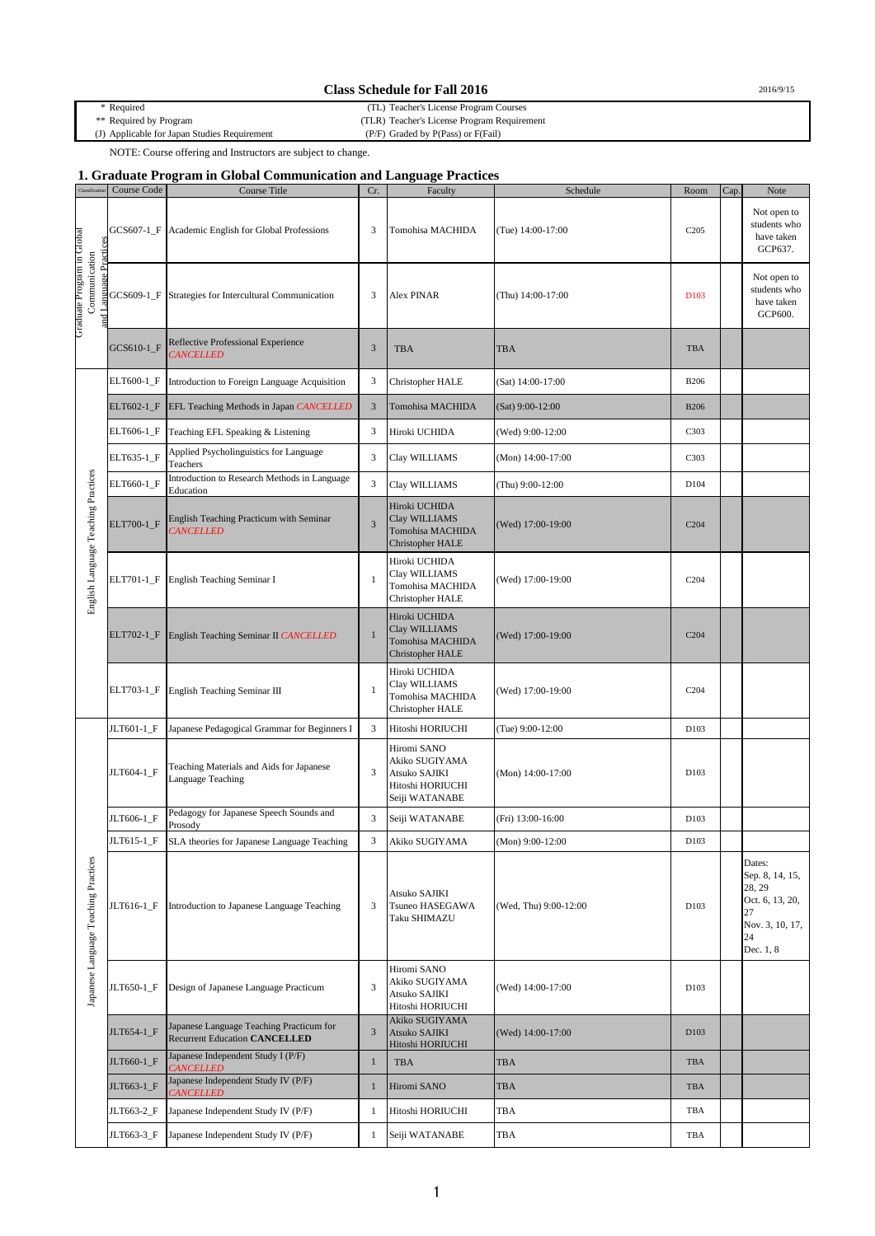## **Class Schedule for Fall 2016** 2016/9/15

\* Required (TL) Teacher's License Program Courses (TLR) Teacher's License Program Requirement<br>(P/F) Graded by P(Pass) or F(Fail)

(J) Applicable for Japan Studies Requirement

NOTE: Course offering and Instructors are subject to change.

## **1. Graduate Program in Global Communication and Language Practices**

| Classificati                                                          | Course Code | Course Title                                                                     | Cr.            | Faculty                                                                              | Schedule              | Room              | Cap. | Note                                                                                               |
|-----------------------------------------------------------------------|-------------|----------------------------------------------------------------------------------|----------------|--------------------------------------------------------------------------------------|-----------------------|-------------------|------|----------------------------------------------------------------------------------------------------|
| Graduate Program in Global<br>and Language Practices<br>Communication | GCS607-1_F  | Academic English for Global Professions                                          | 3              | Tomohisa MACHIDA                                                                     | (Tue) 14:00-17:00     | C <sub>2</sub> 05 |      | Not open to<br>students who<br>have taken<br>GCP637.                                               |
|                                                                       |             | GCS609-1_F Strategies for Intercultural Communication                            | 3              | Alex PINAR                                                                           | (Thu) 14:00-17:00     | D <sub>103</sub>  |      | Not open to<br>students who<br>have taken<br>GCP600.                                               |
|                                                                       | GCS610-1_F  | Reflective Professional Experience<br><b>CANCELLED</b>                           | $\mathfrak{Z}$ | <b>TBA</b>                                                                           | <b>TBA</b>            | <b>TBA</b>        |      |                                                                                                    |
|                                                                       | ELT600-1_F  | Introduction to Foreign Language Acquisition                                     | 3              | Christopher HALE                                                                     | (Sat) 14:00-17:00     | <b>B206</b>       |      |                                                                                                    |
|                                                                       |             | ELT602-1_F EFL Teaching Methods in Japan CANCELLED                               | $\mathfrak{Z}$ | Tomohisa MACHIDA                                                                     | (Sat) 9:00-12:00      | <b>B206</b>       |      |                                                                                                    |
|                                                                       |             | ELT606-1_F Teaching EFL Speaking & Listening                                     | 3              | Hiroki UCHIDA                                                                        | (Wed) 9:00-12:00      | C303              |      |                                                                                                    |
|                                                                       | ELT635-1_F  | Applied Psycholinguistics for Language<br>Teachers                               | 3              | Clay WILLIAMS                                                                        | (Mon) 14:00-17:00     | C303              |      |                                                                                                    |
|                                                                       | ELT660-1_F  | Introduction to Research Methods in Language<br>Education                        | 3              | Clay WILLIAMS                                                                        | (Thu) 9:00-12:00      | D104              |      |                                                                                                    |
| English Language Teaching Practices                                   | ELT700-1_F  | English Teaching Practicum with Seminar<br><b>CANCELLED</b>                      | $\overline{3}$ | Hiroki UCHIDA<br>Clay WILLIAMS<br>Tomohisa MACHIDA<br>Christopher HALE               | (Wed) 17:00-19:00     | C <sub>204</sub>  |      |                                                                                                    |
|                                                                       | ELT701-1_F  | English Teaching Seminar I                                                       | -1             | Hiroki UCHIDA<br>Clay WILLIAMS<br>Tomohisa MACHIDA<br>Christopher HALE               | (Wed) 17:00-19:00     | C <sub>204</sub>  |      |                                                                                                    |
|                                                                       | ELT702-1_F  | English Teaching Seminar II CANCELLED                                            | $\mathbf{1}$   | Hiroki UCHIDA<br>Clay WILLIAMS<br><b>Tomohisa MACHIDA</b><br><b>Christopher HALE</b> | (Wed) 17:00-19:00     | C <sub>204</sub>  |      |                                                                                                    |
|                                                                       | ELT703-1_F  | English Teaching Seminar III                                                     | $\mathbf{1}$   | Hiroki UCHIDA<br>Clay WILLIAMS<br>Tomohisa MACHIDA<br>Christopher HALE               | (Wed) 17:00-19:00     | C204              |      |                                                                                                    |
|                                                                       | JLT601-1_F  | Japanese Pedagogical Grammar for Beginners I                                     | 3              | Hitoshi HORIUCHI                                                                     | (Tue) 9:00-12:00      | D103              |      |                                                                                                    |
|                                                                       | JLT604-1_F  | Teaching Materials and Aids for Japanese<br><b>Language Teaching</b>             | 3              | Hiromi SANO<br>Akiko SUGIYAMA<br>Atsuko SAJIKI<br>Hitoshi HORIUCHI<br>Seiji WATANABE | (Mon) 14:00-17:00     | D103              |      |                                                                                                    |
|                                                                       | JLT606-1_F  | Pedagogy for Japanese Speech Sounds and<br>Prosody                               | 3              | Seiji WATANABE                                                                       | (Fri) 13:00-16:00     | D103              |      |                                                                                                    |
|                                                                       |             | JLT615-1_F SLA theories for Japanese Language Teaching                           | 3              | Akiko SUGIYAMA                                                                       | (Mon) 9:00-12:00      | D103              |      |                                                                                                    |
| Japanese Language Teaching Practices                                  | JLT616-1_F  | Introduction to Japanese Language Teaching                                       | 3              | Atsuko SAJIKI<br>Tsuneo HASEGAWA<br>Taku SHIMAZU                                     | (Wed, Thu) 9:00-12:00 | D103              |      | Dates:<br>Sep. 8, 14, 15,<br>28, 29<br>Oct. 6, 13, 20,<br>27<br>Nov. 3, 10, 17,<br>24<br>Dec. 1, 8 |
|                                                                       | JLT650-1_F  | Design of Japanese Language Practicum                                            | 3              | Hiromi SANO<br>Akiko SUGIYAMA<br>Atsuko SAJIKI<br>Hitoshi HORIUCHI                   | (Wed) 14:00-17:00     | D103              |      |                                                                                                    |
|                                                                       | JLT654-1 F  | Japanese Language Teaching Practicum for<br><b>Recurrent Education CANCELLED</b> | 3              | Akiko SUGIYAMA<br><b>Atsuko SAJIKI</b><br>Hitoshi HORIUCHI                           | (Wed) 14:00-17:00     | D103              |      |                                                                                                    |
|                                                                       | JLT660-1_F  | Japanese Independent Study I (P/F)<br><b>CANCELLED</b>                           | $\mathbf{1}$   | TBA                                                                                  | <b>TBA</b>            | TBA               |      |                                                                                                    |
|                                                                       | JLT663-1_F  | Japanese Independent Study IV (P/F)<br><b>CANCELLED</b>                          | $\mathbf{1}$   | Hiromi SANO                                                                          | <b>TBA</b>            | TBA               |      |                                                                                                    |
|                                                                       | JLT663-2_F  | Japanese Independent Study IV (P/F)                                              | 1              | Hitoshi HORIUCHI                                                                     | TBA                   | TBA               |      |                                                                                                    |
|                                                                       | JLT663-3_F  | Japanese Independent Study IV (P/F)                                              | 1              | Seiji WATANABE                                                                       | TBA                   | TBA               |      |                                                                                                    |